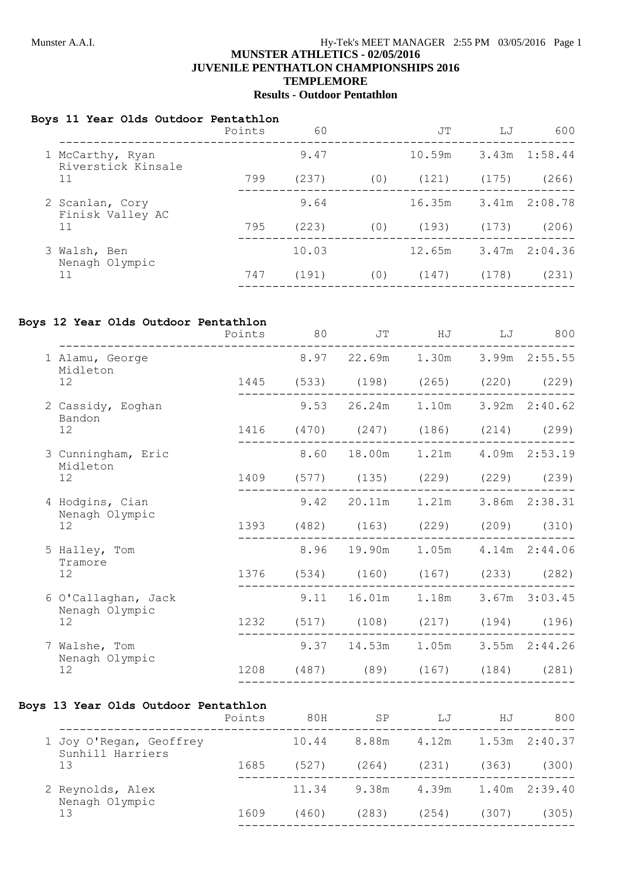#### **JUVENILE PENTHATLON CHAMPIONSHIPS 2016 TEMPLEMORE**

# **Results - Outdoor Pentathlon**

#### **Boys 11 Year Olds Outdoor Pentathlon**

|    |                                        | Points | 60    |     | JT     | LJ    | 600             |
|----|----------------------------------------|--------|-------|-----|--------|-------|-----------------|
|    | 1 McCarthy, Ryan<br>Riverstick Kinsale |        | 9.47  |     | 10.59m |       | 3.43m 1:58.44   |
| 11 |                                        | 799    | (237) | (0) | (121)  | (175) | (266)           |
|    | 2 Scanlan, Cory<br>Finisk Valley AC    |        | 9.64  |     | 16.35m |       | 3.41m 2:08.78   |
|    | 11                                     | 795    | (223) | (0) | (193)  | (173) | (206)           |
|    | 3 Walsh, Ben<br>Nenagh Olympic         |        | 10.03 |     | 12.65m |       | $3.47m$ 2:04.36 |
|    | 11                                     | 747    | (191) | (0) | (147)  | (178) | (231)           |
|    |                                        |        |       |     |        |       |                 |

### **Boys 12 Year Olds Outdoor Pentathlon**

|                                | Points | 80   | JT                                      | HJ           | LJ | 800               |
|--------------------------------|--------|------|-----------------------------------------|--------------|----|-------------------|
| 1 Alamu, George<br>Midleton    |        |      | 8.97 22.69m 1.30m 3.99m 2:55.55         |              |    |                   |
| 12                             |        |      | 1445 (533) (198) (265) (220) (229)      |              |    |                   |
| 2 Cassidy, Eoghan<br>Bandon    |        | 9.53 |                                         | 26.24m 1.10m |    | $3.92m$ $2:40.62$ |
| 12                             |        |      | 1416 (470) (247) (186) (214) (299)      |              |    |                   |
| 3 Cunningham, Eric<br>Midleton |        |      | 8.60 18.00m 1.21m                       |              |    | 4.09m 2:53.19     |
| 12                             |        |      | 1409 (577) (135) (229) (229) (239)      |              |    |                   |
| 4 Hodgins, Cian                |        |      | 9.42 20.11m                             | 1.21m        |    | 3.86m 2:38.31     |
| Nenagh Olympic<br>12           |        |      | 1393 (482) (163) (229)                  |              |    | $(209)$ $(310)$   |
| 5 Halley, Tom<br>Tramore       |        |      | 8.96 19.90m                             | 1.05m        |    | 4.14m 2:44.06     |
| 12                             |        |      | 1376 (534) (160) (167) (233) (282)      |              |    |                   |
| 6 O'Callaghan, Jack            |        | 9.11 | 16.01m                                  | 1.18m        |    | 3.67m 3:03.45     |
| Nenagh Olympic<br>12           | 1232   |      | $(517)$ $(108)$ $(217)$ $(194)$ $(196)$ |              |    |                   |
| 7 Walshe, Tom                  |        |      | $9.37$ 14.53m 1.05m                     |              |    | 3.55m 2:44.26     |
| Nenagh Olympic<br>12           | 1208   |      | $(487)$ $(89)$ $(167)$                  |              |    | $(184)$ $(281)$   |
|                                |        |      |                                         |              |    |                   |

## **Boys 13 Year Olds Outdoor Pentathlon**

|                                             | Points | 80H   | SP    | LJ    | ΗJ    | 800               |
|---------------------------------------------|--------|-------|-------|-------|-------|-------------------|
| 1 Joy O'Regan, Geoffrey<br>Sunhill Harriers |        | 10.44 | 8.88m | 4.12m |       | $1.53m$ $2:40.37$ |
| 13                                          | 1685   | (527) | (264) | (231) | (363) | (300)             |
| 2 Reynolds, Alex<br>Nenagh Olympic          |        | 11.34 | 9.38m | 4.39m |       | $1.40m$ $2:39.40$ |
| 13                                          | 1609   | (460) | (283) | (254) | (307) | (305)             |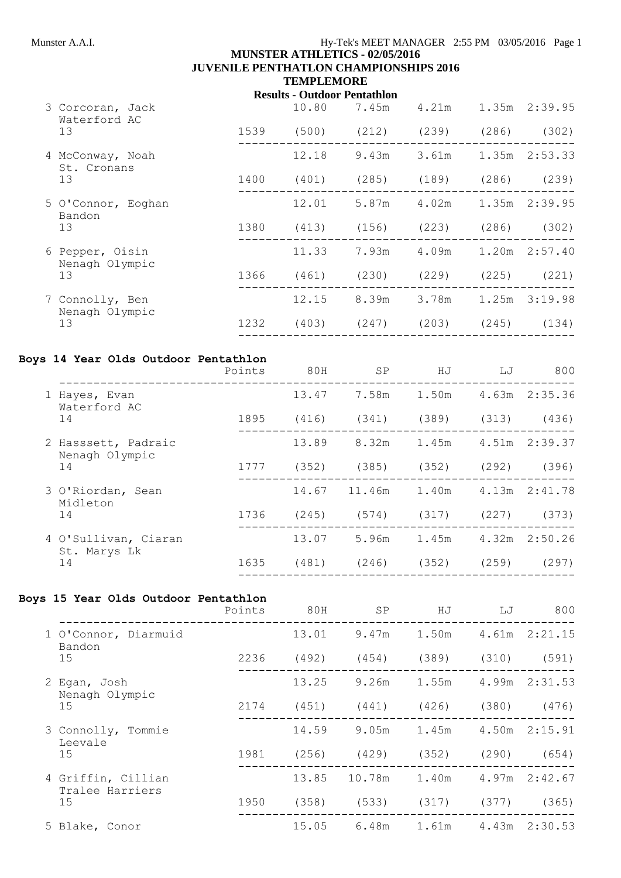# Munster A.A.I. **Hy-Tek's MEET MANAGER** 2:55 PM 03/05/2016 Page 1

## **MUNSTER ATHLETICS - 02/05/2016 JUVENILE PENTHATLON CHAMPIONSHIPS 2016 TEMPLEMORE**

# **Results - Outdoor Pentathlon**

| 3 Corcoran, Jack<br>Waterford AC |      | 10.80 | 7.45m | 4.21m                     |       | $1.35m$ $2:39.95$ |
|----------------------------------|------|-------|-------|---------------------------|-------|-------------------|
| 13                               | 1539 | (500) | (212) | (239)                     | (286) | (302)             |
| 4 McConway, Noah<br>St. Cronans  |      | 12.18 | 9.43m | 3.61m                     |       | $1.35m$ $2:53.33$ |
| 13                               | 1400 | (401) | (285) | (189)                     | (286) | (239)             |
| 5 O'Connor, Eoghan<br>Bandon     |      | 12.01 |       | 5.87m 4.02m 1.35m 2:39.95 |       |                   |
| 13                               | 1380 | (413) | (156) | (223)                     | (286) | (302)             |
| 6 Pepper, Oisin                  |      | 11.33 | 7.93m | 4.09m                     |       | $1.20m$ $2:57.40$ |
| Nenagh Olympic<br>13             | 1366 | (461) | (230) | (229)                     | (225) | (221)             |
| 7 Connolly, Ben                  |      | 12.15 | 8.39m | 3.78m 1.25m 3:19.98       |       |                   |
| Nenagh Olympic<br>13             | 1232 | (403) | (247) | (203)                     | (245) | (134)             |
|                                  |      |       |       |                           |       |                   |

# **Boys 14 Year Olds Outdoor Pentathlon**

|                                       | Points | 80H   | SP           | HJ              | LJ                  | 800               |
|---------------------------------------|--------|-------|--------------|-----------------|---------------------|-------------------|
| 1 Hayes, Evan<br>Waterford AC         |        | 13.47 | 7.58m        | 1.50m           |                     | 4.63m 2:35.36     |
| 14                                    | 1895   | (416) | (341)        | (389)           | (313)               | (436)             |
| 2 Hasssett, Padraic<br>Nenagh Olympic |        | 13.89 | 8.32m        |                 | 1.45m 4.51m 2:39.37 |                   |
| 14                                    | 1777   | (352) | (385)        | (352)           | (292)               | (396)             |
| 3 O'Riordan, Sean<br>Midleton         |        |       | 14.67 11.46m | 1.40m           |                     | $4.13m$ $2:41.78$ |
| 14                                    | 1736   | (245) | (574)        | (317)           | (227)               | (373)             |
| 4 O'Sullivan, Ciaran<br>St. Marys Lk  |        | 13.07 | 5.96m        | 1.45m           |                     | $4.32m$ $2:50.26$ |
| 14                                    | 1635   | (481) |              | $(246)$ $(352)$ | (259)               | (297)             |
|                                       |        |       |              |                 |                     |                   |

## **Boys 15 Year Olds Outdoor Pentathlon**

|                                       | Points | 80H   | SP                                      | ΗJ                      | LJ | 800               |
|---------------------------------------|--------|-------|-----------------------------------------|-------------------------|----|-------------------|
| 1 O'Connor, Diarmuid<br>Bandon        |        | 13.01 | 9.47m                                   | 1.50m                   |    | 4.61m 2:21.15     |
| 15                                    | 2236   | (492) | (454)                                   | $(389)$ $(310)$ $(591)$ |    |                   |
| 2 Egan, Josh<br>Nenagh Olympic        |        | 13.25 | 9.26m                                   | 1.55m                   |    | 4.99m 2:31.53     |
| 15                                    | 2174   | (451) | (441)                                   | $(426)$ $(380)$         |    | (476)             |
| 3 Connolly, Tommie<br>Leevale         |        | 14.59 | 9.05m                                   | 1.45m                   |    | 4.50m 2:15.91     |
| 15                                    | 1981   |       | $(256)$ $(429)$ $(352)$ $(290)$ $(654)$ |                         |    |                   |
| 4 Griffin, Cillian<br>Tralee Harriers |        |       | 13.85 10.78m 1.40m                      |                         |    | $4.97m$ $2:42.67$ |
| 15                                    | 1950   |       | $(358)$ $(533)$ $(317)$ $(377)$         |                         |    | (365)             |
| 5 Blake, Conor                        |        |       | 15.05 6.48m 1.61m 4.43m 2:30.53         |                         |    |                   |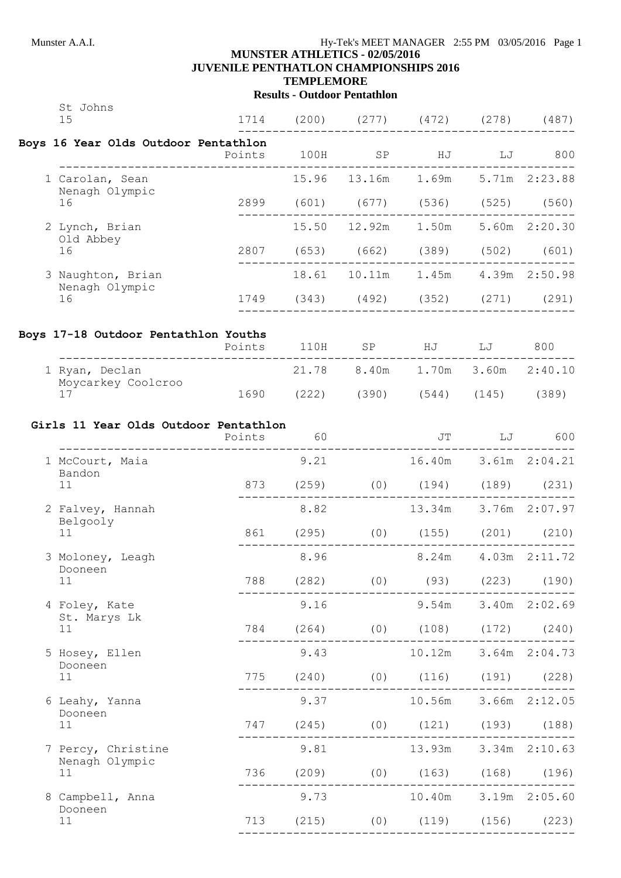St Johns

# Munster A.A.I. **Hy-Tek's MEET MANAGER** 2:55 PM 03/05/2016 Page 1

#### **MUNSTER ATHLETICS - 02/05/2016 JUVENILE PENTHATLON CHAMPIONSHIPS 2016**

**TEMPLEMORE**

# **Results - Outdoor Pentathlon**

| 15                                                               |                          |      | 1714 (200) (277) (472) (278) (487)   |                           |                      |  |
|------------------------------------------------------------------|--------------------------|------|--------------------------------------|---------------------------|----------------------|--|
| Boys 16 Year Olds Outdoor Pentathlon<br>Points 100H SP HJ LJ 800 |                          |      |                                      |                           |                      |  |
| 1 Carolan, Sean                                                  |                          |      | 15.96 13.16m 1.69m 5.71m 2:23.88     |                           |                      |  |
| Nenagh Olympic<br>16                                             |                          |      | 2899 (601) (677) (536) (525) (560)   |                           |                      |  |
| 2 Lynch, Brian                                                   |                          |      | 15.50  12.92m  1.50m  5.60m  2:20.30 |                           |                      |  |
| Old Abbey<br>16                                                  |                          |      | 2807 (653) (662) (389) (502) (601)   |                           |                      |  |
| 3 Naughton, Brian                                                |                          |      | 18.61  10.11m  1.45m  4.39m  2:50.98 |                           |                      |  |
| Nenagh Olympic<br>16                                             |                          |      | 1749 (343) (492) (352) (271) (291)   |                           |                      |  |
| Boys 17-18 Outdoor Pentathlon Youths                             | Points 110H SP HJ LJ 800 |      |                                      |                           |                      |  |
| _____________________________________<br>1 Ryan, Declan          |                          |      | 21.78 8.40m 1.70m 3.60m 2:40.10      |                           |                      |  |
| Moycarkey Coolcroo<br>17                                         |                          |      | 1690 (222) (390) (544) (145) (389)   |                           |                      |  |
|                                                                  |                          |      |                                      |                           |                      |  |
| Girls 11 Year Olds Outdoor Pentathlon                            | Points 60 JT LJ 600      |      |                                      |                           |                      |  |
| 1 McCourt, Maia<br>Bandon                                        |                          |      | 9.21 16.40m 3.61m 2:04.21            |                           |                      |  |
| 11                                                               |                          |      | 873 (259) (0) (194) (189) (231)      |                           |                      |  |
| 2 Falvey, Hannah                                                 |                          |      | 8.82 13.34m 3.76m 2:07.97            |                           |                      |  |
| Belgooly<br>11                                                   |                          |      | 861 (295) (0) (155) (201) (210)      |                           |                      |  |
| 3 Moloney, Leagh<br>Dooneen                                      |                          | 8.96 |                                      | 8.24m  4.03m  2:11.72     |                      |  |
| 11 — 1                                                           |                          |      | 788 (282) (0) (93) (223) (190)       |                           |                      |  |
| 4 Foley, Kate<br>St. Marys Lk                                    |                          | 9.16 |                                      | $9.54m$ $3.40m$ $2:02.69$ |                      |  |
| 11                                                               |                          |      | 784 (264) (0) (108) (172) (240)      |                           |                      |  |
| 5 Hosey, Ellen                                                   |                          |      | 9.43 10.12m 3.64m 2:04.73            |                           |                      |  |
| Dooneen<br>11                                                    |                          |      | 775 (240) (0) (116) (191) (228)      |                           |                      |  |
| 6 Leahy, Yanna                                                   |                          |      | 9.37 10.56m 3.66m 2:12.05            |                           |                      |  |
| Dooneen<br>11                                                    |                          |      | 747 (245) (0) (121) (193) (188)      |                           |                      |  |
| 7 Percy, Christine                                               |                          | 9.81 |                                      | 13.93m 3.34m 2:10.63      |                      |  |
| Nenagh Olympic<br>11                                             |                          |      | 736 (209) (0) (163) (168) (196)      |                           |                      |  |
| 8 Campbell, Anna                                                 |                          | 9.73 |                                      |                           | 10.40m 3.19m 2:05.60 |  |
| Dooneen<br>11                                                    |                          |      | 713 (215) (0) (119) (156) (223)      |                           |                      |  |
|                                                                  |                          |      |                                      |                           |                      |  |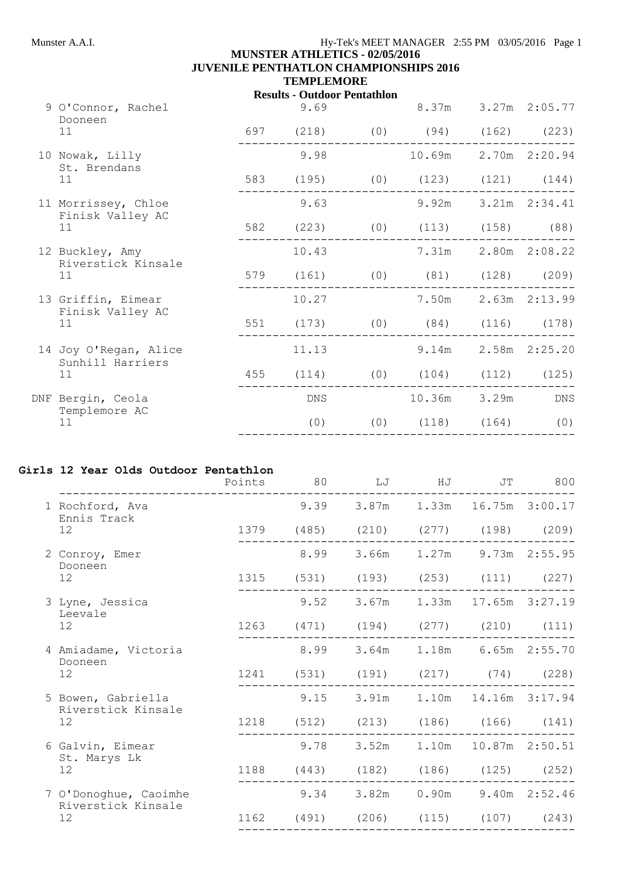# **MUNSTER ATHLETICS - 02/05/2016 JUVENILE PENTHATLON CHAMPIONSHIPS 2016 TEMPLEMORE**

#### **Results - Outdoor Pentathlon**

| 9 O'Connor, Rachel<br>Dooneen           |     | 9.69       |                                 | 8.37m  |                              | 3.27m 2:05.77      |
|-----------------------------------------|-----|------------|---------------------------------|--------|------------------------------|--------------------|
| 11                                      |     | 697 (218)  | $(0)$ $(94)$ $(162)$ $(223)$    |        |                              |                    |
| 10 Nowak, Lilly<br>St. Brendans         |     | 9.98       |                                 |        | 10.69m  2.70m  2:20.94       |                    |
| 11                                      |     |            | 583 (195) (0) (123) (121) (144) |        |                              |                    |
| 11 Morrissey, Chloe<br>Finisk Valley AC |     | 9.63       |                                 | 9.92m  |                              | 3.21m 2:34.41      |
| 11                                      |     | 582 (223)  |                                 |        | $(0)$ $(113)$ $(158)$ $(88)$ |                    |
| 12 Buckley, Amy<br>Riverstick Kinsale   |     | 10.43      |                                 | 7.31m  |                              | 2.80m 2:08.22      |
| 11                                      |     | 579 (161)  |                                 |        | $(0)$ $(81)$ $(128)$ $(209)$ |                    |
| 13 Griffin, Eimear<br>Finisk Valley AC  |     | 10.27      |                                 | 7.50m  |                              | 2.63m 2:13.99      |
| 11                                      |     | 551 (173)  |                                 |        | $(0)$ $(84)$ $(116)$ $(178)$ |                    |
| 14 Joy O'Regan, Alice                   |     | 11.13      |                                 | 9.14m  |                              | 2.58m 2:25.20      |
| Sunhill Harriers<br>11                  | 455 | (114)      |                                 |        | $(0)$ $(104)$ $(112)$        | (125)              |
| DNF Bergin, Ceola                       |     | <b>DNS</b> |                                 | 10.36m | 3.29m                        | $\mathop{\rm DNS}$ |
| Templemore AC<br>11                     |     | (0)        |                                 |        | $(0)$ $(118)$ $(164)$        | (0)                |
|                                         |     |            |                                 |        |                              |                    |

#### **Girls 12 Year Olds Outdoor Pentathlon**

|                                          | Points | 80   | LJ                                 | HJ | JT                         | 800             |
|------------------------------------------|--------|------|------------------------------------|----|----------------------------|-----------------|
| 1 Rochford, Ava                          |        |      | 9.39 3.87m 1.33m 16.75m 3:00.17    |    |                            |                 |
| Ennis Track<br>12                        |        |      | 1379 (485) (210) (277) (198) (209) |    |                            |                 |
| 2 Conroy, Emer<br>Dooneen                |        | 8.99 |                                    |    | 3.66m 1.27m 9.73m 2:55.95  |                 |
| 12                                       |        |      | 1315 (531) (193) (253) (111) (227) |    |                            |                 |
| 3 Lyne, Jessica<br>Leevale               |        | 9.52 |                                    |    | 3.67m 1.33m 17.65m 3:27.19 |                 |
| 12                                       |        |      | 1263 (471) (194) (277) (210) (111) |    |                            |                 |
| 4 Amiadame, Victoria<br>Dooneen          |        | 8.99 |                                    |    | 3.64m 1.18m 6.65m 2:55.70  |                 |
| 12                                       |        |      | 1241 (531) (191) (217) (74) (228)  |    |                            |                 |
| 5 Bowen, Gabriella<br>Riverstick Kinsale |        | 9.15 |                                    |    | 3.91m 1.10m 14.16m 3:17.94 |                 |
| 12                                       |        |      | 1218 (512) (213) (186) (166) (141) |    |                            |                 |
| 6 Galvin, Eimear                         |        | 9.78 | 3.52m                              |    | 1.10m  10.87m  2:50.51     |                 |
| St. Marys Lk<br>12                       |        |      | 1188 (443) (182) (186) (125) (252) |    |                            |                 |
| 7 O'Donoghue, Caoimhe                    |        | 9.34 | 3.82m                              |    | $0.90m$ 9.40m $2:52.46$    |                 |
| Riverstick Kinsale<br>12                 | 1162   |      | $(491)$ $(206)$ $(115)$            |    |                            | $(107)$ $(243)$ |
|                                          |        |      |                                    |    |                            |                 |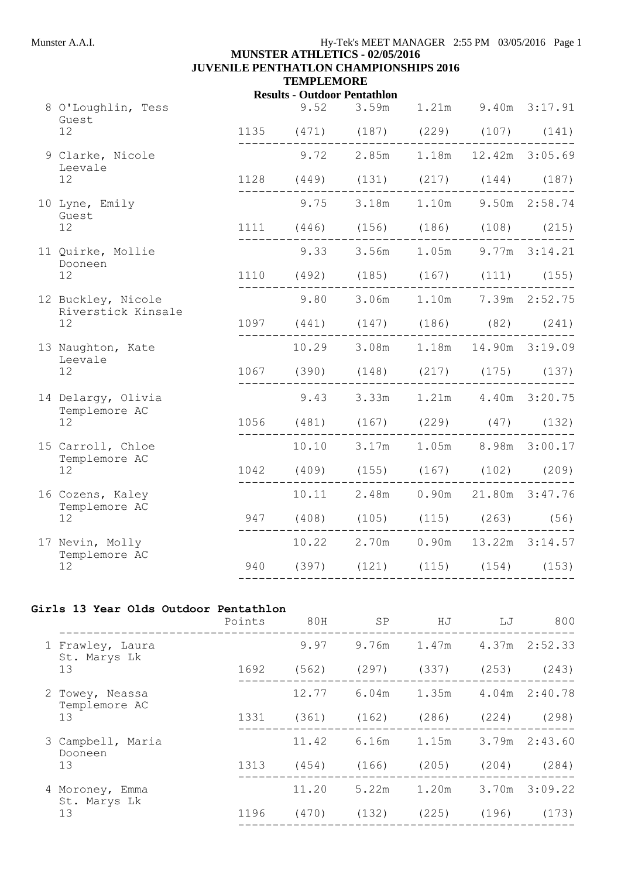# Munster A.A.I. **Hy-Tek's MEET MANAGER** 2:55 PM 03/05/2016 Page 1

# **MUNSTER ATHLETICS - 02/05/2016 JUVENILE PENTHATLON CHAMPIONSHIPS 2016 TEMPLEMORE**

# **Results - Outdoor Pentathlon**

| 8 O'Loughlin, Tess<br>Guest        |                                                                                                                                                                                                                                                                                                                                                                                                                                                                                                                                          | 9.52 3.59m 1.21m 9.40m 3:17.91                 |                     |  |
|------------------------------------|------------------------------------------------------------------------------------------------------------------------------------------------------------------------------------------------------------------------------------------------------------------------------------------------------------------------------------------------------------------------------------------------------------------------------------------------------------------------------------------------------------------------------------------|------------------------------------------------|---------------------|--|
| 12                                 |                                                                                                                                                                                                                                                                                                                                                                                                                                                                                                                                          | 1135 (471) (187) (229) (107) (141)             |                     |  |
| 9 Clarke, Nicole                   |                                                                                                                                                                                                                                                                                                                                                                                                                                                                                                                                          | $9.72$ 2.85m 1.18m 12.42m 3:05.69              |                     |  |
| Leevale<br>12                      |                                                                                                                                                                                                                                                                                                                                                                                                                                                                                                                                          | 1128 (449) (131) (217) (144) (187)             |                     |  |
| 10 Lyne, Emily                     |                                                                                                                                                                                                                                                                                                                                                                                                                                                                                                                                          | 9.75 3.18m 1.10m 9.50m 2:58.74                 |                     |  |
| Guest<br>12                        |                                                                                                                                                                                                                                                                                                                                                                                                                                                                                                                                          | 1111 (446) (156) (186) (108) (215)             |                     |  |
| 11 Quirke, Mollie                  |                                                                                                                                                                                                                                                                                                                                                                                                                                                                                                                                          | 9.33 3.56m 1.05m 9.77m 3:14.21                 |                     |  |
| Dooneen<br>$12 \overline{ }$       |                                                                                                                                                                                                                                                                                                                                                                                                                                                                                                                                          | 1110 (492) (185) (167) (111) (155)             |                     |  |
| 12 Buckley, Nicole                 |                                                                                                                                                                                                                                                                                                                                                                                                                                                                                                                                          | 9.80 3.06m 1.10m 7.39m 2:52.75                 |                     |  |
| Riverstick Kinsale<br>12           |                                                                                                                                                                                                                                                                                                                                                                                                                                                                                                                                          | 1097 (441) (147) (186) (82) (241)<br>--------- | . _ _ _ _ _ _ _ _ . |  |
| 13 Naughton, Kate<br>Leevale       |                                                                                                                                                                                                                                                                                                                                                                                                                                                                                                                                          | 10.29 3.08m 1.18m 14.90m 3:19.09               |                     |  |
| 12                                 |                                                                                                                                                                                                                                                                                                                                                                                                                                                                                                                                          | 1067 (390) (148) (217) (175) (137)             |                     |  |
| 14 Delargy, Olivia                 |                                                                                                                                                                                                                                                                                                                                                                                                                                                                                                                                          | 9.43 3.33m 1.21m 4.40m 3:20.75                 |                     |  |
| Templemore AC<br>12 <sup>°</sup>   | $\begin{tabular}{ccccccccc} \multicolumn{2}{c }{\textbf{\textcolor{blue}{\bf -}} & \multicolumn{2}{c}{\textbf{\textcolor{blue}{\bf -}} & \multicolumn{2}{c}{\textbf{\textcolor{blue}{\bf -}} & \multicolumn{2}{c}{\textbf{\textcolor{blue}{\bf -}} & \multicolumn{2}{c}{\textbf{\textcolor{blue}{\bf -}} & \multicolumn{2}{c}} \end{tabular} \end{tabular} \begin{tabular}{c} \multicolumn{2}{c }{\textbf{\textcolor{blue}{\bf -}} & \multicolumn{2}{c}{\textbf{\textcolor{blue}{\bf -}} & \multicolumn{2}{c}{\textbf{\textcolor{blue}{$ | 1056 (481) (167) (229) (47) (132)              |                     |  |
| 15 Carroll, Chloe                  |                                                                                                                                                                                                                                                                                                                                                                                                                                                                                                                                          | 10.10 3.17m 1.05m 8.98m 3:00.17                |                     |  |
| Templemore AC<br>12 <sup>°</sup>   |                                                                                                                                                                                                                                                                                                                                                                                                                                                                                                                                          | 1042 (409) (155) (167) (102) (209)             |                     |  |
| 16 Cozens, Kaley                   |                                                                                                                                                                                                                                                                                                                                                                                                                                                                                                                                          | 10.11  2.48m  0.90m  21.80m  3:47.76           |                     |  |
| Templemore AC<br>$12 \overline{ }$ |                                                                                                                                                                                                                                                                                                                                                                                                                                                                                                                                          | 947 (408) (105) (115) (263) (56)               |                     |  |
| 17 Nevin, Molly                    |                                                                                                                                                                                                                                                                                                                                                                                                                                                                                                                                          | 10.22 2.70m 0.90m 13.22m 3:14.57               |                     |  |
| Templemore AC<br>12                |                                                                                                                                                                                                                                                                                                                                                                                                                                                                                                                                          | 940 (397) (121) (115) (154) (153)              |                     |  |
|                                    |                                                                                                                                                                                                                                                                                                                                                                                                                                                                                                                                          |                                                |                     |  |

#### **Girls 13 Year Olds Outdoor Pentathlon**

|                    |                                  | Points | 80H   | <b>SP</b> | ΗJ    | LJ    | 800               |
|--------------------|----------------------------------|--------|-------|-----------|-------|-------|-------------------|
| St. Marys Lk<br>13 | 1 Frawley, Laura                 |        | 9.97  | 9.76m     | 1.47m |       | 4.37m 2:52.33     |
|                    |                                  | 1692   | (562) | (297)     | (337) | (253) | (243)             |
|                    | 2 Towey, Neassa<br>Templemore AC |        | 12.77 | 6.04m     | 1.35m |       | 4.04m 2:40.78     |
|                    | 13                               | 1331   | (361) | (162)     | (286) | (224) | (298)             |
|                    | 3 Campbell, Maria<br>Dooneen     |        | 11.42 | 6.16m     | 1.15m |       | $3.79m$ $2:43.60$ |
|                    | 13                               | 1313   | (454) | (166)     | (205) | (204) | (284)             |
|                    | 4 Moroney, Emma<br>St. Marys Lk  |        | 11.20 | 5.22m     | 1.20m | 3.70m | 3:09.22           |
|                    | 13                               | 1196   | (470) | (132)     | (225) | (196) | (173)             |
|                    |                                  |        |       |           |       |       |                   |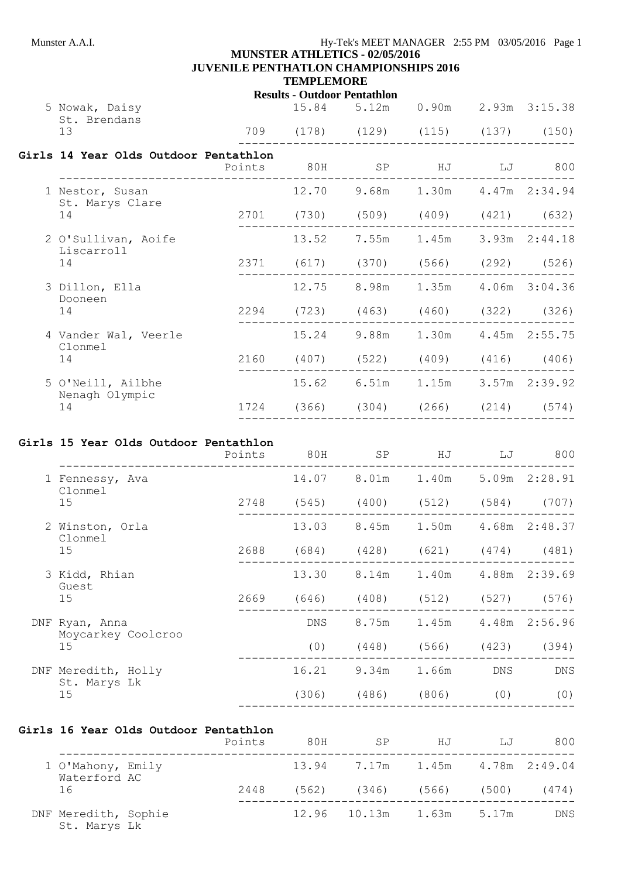#### Munster A.A.I. **Hy-Tek's MEET MANAGER** 2:55 PM 03/05/2016 Page 1 **MUNSTER ATHLETICS - 02/05/2016**

# **JUVENILE PENTHATLON CHAMPIONSHIPS 2016**

## **TEMPLEMORE**

**Results - Outdoor Pentathlon**

| 5 Nowak, Daisy<br>St. Brendans        |  | 15.84 5.12m 0.90m 2.93m 3:15.38    |  |  |
|---------------------------------------|--|------------------------------------|--|--|
| 13                                    |  | 709 (178) (129) (115) (137) (150)  |  |  |
| Girls 14 Year Olds Outdoor Pentathlon |  | Points 80H SP HJ LJ 800            |  |  |
| 1 Nestor, Susan                       |  | 12.70 9.68m 1.30m 4.47m 2:34.94    |  |  |
| St. Marys Clare<br>14                 |  | 2701 (730) (509) (409) (421) (632) |  |  |
| 2 O'Sullivan, Aoife                   |  | 13.52 7.55m 1.45m 3.93m 2:44.18    |  |  |
| Liscarroll<br>14                      |  | 2371 (617) (370) (566) (292) (526) |  |  |
| 3 Dillon, Ella                        |  | 12.75 8.98m 1.35m 4.06m 3:04.36    |  |  |
| Dooneen<br>14                         |  | 2294 (723) (463) (460) (322) (326) |  |  |
| 4 Vander Wal, Veerle                  |  | 15.24 9.88m 1.30m 4.45m 2:55.75    |  |  |
| Clonmel<br>14                         |  | 2160 (407) (522) (409) (416) (406) |  |  |
| 5 O'Neill, Ailbhe                     |  | 15.62 6.51m 1.15m 3.57m 2:39.92    |  |  |
| Nenagh Olympic<br>14                  |  | 1724 (366) (304) (266) (214) (574) |  |  |
|                                       |  |                                    |  |  |

# **Girls 15 Year Olds Outdoor Pentathlon**

| 8.01m 1.40m<br>5.09m 2:28.91<br>14.07<br>1 Fennessy, Ava<br>Clonmel<br>2748<br>$(545)$ $(400)$ $(512)$ $(584)$ $(707)$<br>15<br>1.50m<br>13.03 8.45m<br>4.68m 2:48.37<br>2 Winston, Orla<br>Clonmel<br>15<br>2688<br>(684)<br>$(428)$ $(621)$ $(474)$ $(481)$<br>1.40m<br>4.88m 2:39.69<br>13.30<br>8.14m<br>3 Kidd, Rhian<br>Guest<br>15<br>2669<br>(646)<br>(408)<br>$(512)$ $(527)$ $(576)$<br>8.75m<br>1.45m<br>4.48m 2:56.96<br>DNS<br>DNF Ryan, Anna<br>Moycarkey Coolcroo<br>(0)<br>15<br>(448)<br>(566)<br>(423) |                    | 800<br>LJ  |
|--------------------------------------------------------------------------------------------------------------------------------------------------------------------------------------------------------------------------------------------------------------------------------------------------------------------------------------------------------------------------------------------------------------------------------------------------------------------------------------------------------------------------|--------------------|------------|
|                                                                                                                                                                                                                                                                                                                                                                                                                                                                                                                          |                    |            |
|                                                                                                                                                                                                                                                                                                                                                                                                                                                                                                                          |                    |            |
|                                                                                                                                                                                                                                                                                                                                                                                                                                                                                                                          |                    |            |
|                                                                                                                                                                                                                                                                                                                                                                                                                                                                                                                          |                    |            |
|                                                                                                                                                                                                                                                                                                                                                                                                                                                                                                                          |                    |            |
|                                                                                                                                                                                                                                                                                                                                                                                                                                                                                                                          |                    |            |
|                                                                                                                                                                                                                                                                                                                                                                                                                                                                                                                          |                    |            |
|                                                                                                                                                                                                                                                                                                                                                                                                                                                                                                                          |                    | (394)      |
| 9.34m<br>16.21<br>1.66m<br><b>DNS</b><br>DNF Meredith, Holly                                                                                                                                                                                                                                                                                                                                                                                                                                                             | St. Marys Lk<br>15 | <b>DNS</b> |
| (306)<br>$(486)$ $(806)$<br>(0)                                                                                                                                                                                                                                                                                                                                                                                                                                                                                          |                    | (0)        |

# **Girls 16 Year Olds Outdoor Pentathlon**

|                                         |  | Points | 80H                                       | SP                                      | HJ | - LJ  | 800        |
|-----------------------------------------|--|--------|-------------------------------------------|-----------------------------------------|----|-------|------------|
| 1 O'Mahony, Emily<br>Waterford AC<br>16 |  |        | $13.94$ $7.17m$ $1.45m$ $4.78m$ $2:49.04$ |                                         |    |       |            |
|                                         |  | 2448   |                                           | $(562)$ $(346)$ $(566)$ $(500)$ $(474)$ |    |       |            |
| DNF Meredith, Sophie<br>St. Marys Lk    |  |        |                                           | 12.96 10.13m 1.63m                      |    | 5.17m | <b>DNS</b> |